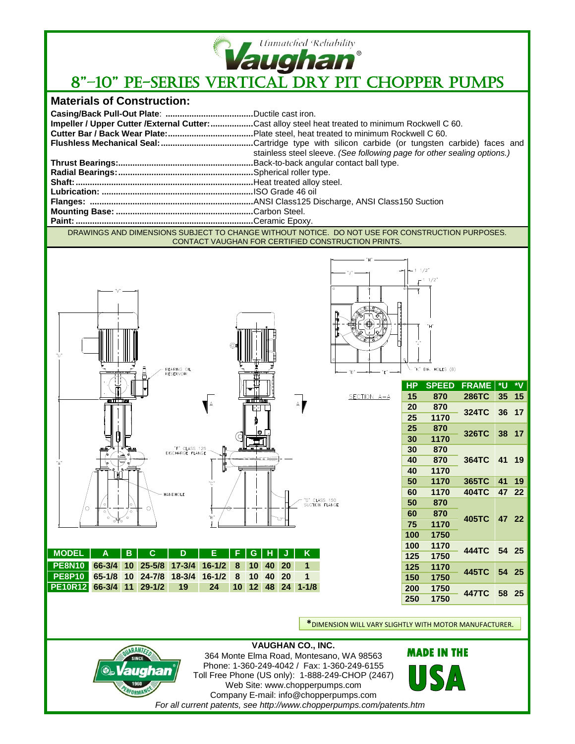

## **Vaughan**<br>8"-10" PE-SERIES VERTICAL DRY PIT CHOPPER PUMPS

## **Materials of Construction:**

|                                                                                                 | Impeller / Upper Cutter / External Cutter: Cast alloy steel heat treated to minimum Rockwell C 60. |
|-------------------------------------------------------------------------------------------------|----------------------------------------------------------------------------------------------------|
|                                                                                                 |                                                                                                    |
|                                                                                                 |                                                                                                    |
|                                                                                                 | stainless steel sleeve. (See following page for other sealing options.)                            |
|                                                                                                 |                                                                                                    |
|                                                                                                 |                                                                                                    |
|                                                                                                 |                                                                                                    |
|                                                                                                 |                                                                                                    |
|                                                                                                 |                                                                                                    |
|                                                                                                 |                                                                                                    |
|                                                                                                 |                                                                                                    |
| DRAWINGS AND DIMENSIONS SUBJECT TO CUANCE WITHOUT NOTICE. DO NOT HIST FOR CONSTRUCTION BURDOSES |                                                                                                    |

DRAWINGS AND DIMENSIONS SUBJECT TO CHANGE WITHOUT NOTICE. DO NOT USE FOR CONSTRUCTION PURPOSES. CONTACT VAUGHAN FOR CERTIFIED CONSTRUCTION PRINTS.